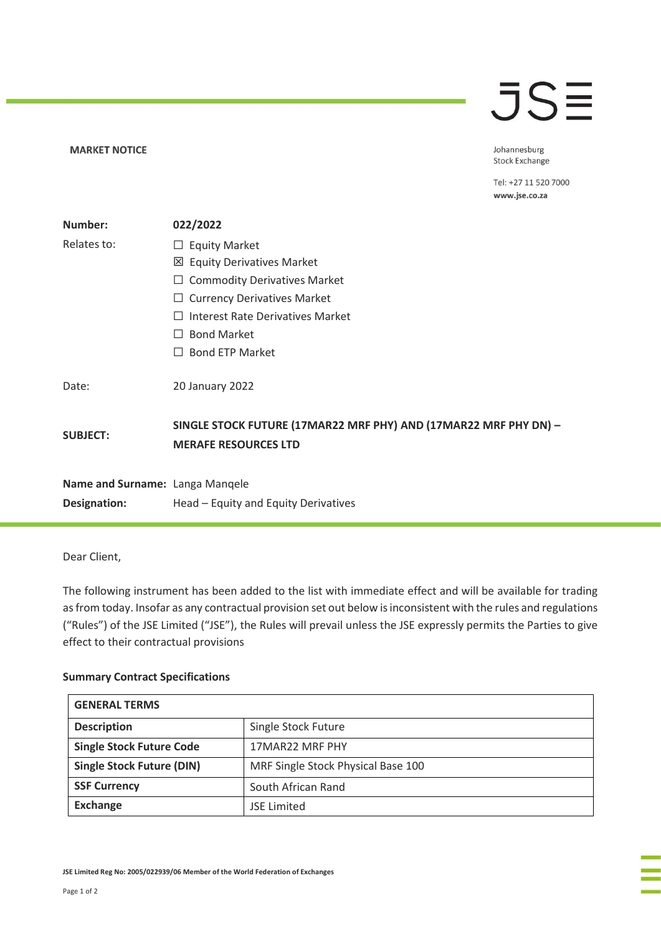## **JSE**

**MARKET NOTICE** 

Johannesburg Stock Exchange

Tel: +27 11 520 7000 www.jse.co.za

| Number:                         | 022/2022                                                                                        |
|---------------------------------|-------------------------------------------------------------------------------------------------|
| Relates to:                     | <b>Equity Market</b><br>ப                                                                       |
|                                 | <b>Equity Derivatives Market</b><br>⊠                                                           |
|                                 | <b>Commodity Derivatives Market</b><br>ப                                                        |
|                                 | <b>Currency Derivatives Market</b><br>⊔                                                         |
|                                 | Interest Rate Derivatives Market                                                                |
|                                 | <b>Bond Market</b><br>$\Box$                                                                    |
|                                 | <b>Bond ETP Market</b><br>$\perp$                                                               |
| Date:                           | 20 January 2022                                                                                 |
| <b>SUBJECT:</b>                 | SINGLE STOCK FUTURE (17MAR22 MRF PHY) AND (17MAR22 MRF PHY DN) -<br><b>MERAFE RESOURCES LTD</b> |
| Name and Surname: Langa Manqele |                                                                                                 |
| Designation:                    | Head – Equity and Equity Derivatives                                                            |

Dear Client,

The following instrument has been added to the list with immediate effect and will be available for trading as from today. Insofar as any contractual provision set out below is inconsistent with the rules and regulations ("Rules") of the JSE Limited ("JSE"), the Rules will prevail unless the JSE expressly permits the Parties to give effect to their contractual provisions

## **Summary Contract Specifications**

| <b>GENERAL TERMS</b>             |                                    |  |
|----------------------------------|------------------------------------|--|
| <b>Description</b>               | Single Stock Future                |  |
| <b>Single Stock Future Code</b>  | 17MAR22 MRF PHY                    |  |
| <b>Single Stock Future (DIN)</b> | MRF Single Stock Physical Base 100 |  |
| <b>SSF Currency</b>              | South African Rand                 |  |
| <b>Exchange</b>                  | <b>JSE Limited</b>                 |  |

**JSE Limited Reg No: 2005/022939/06 Member of the World Federation of Exchanges**